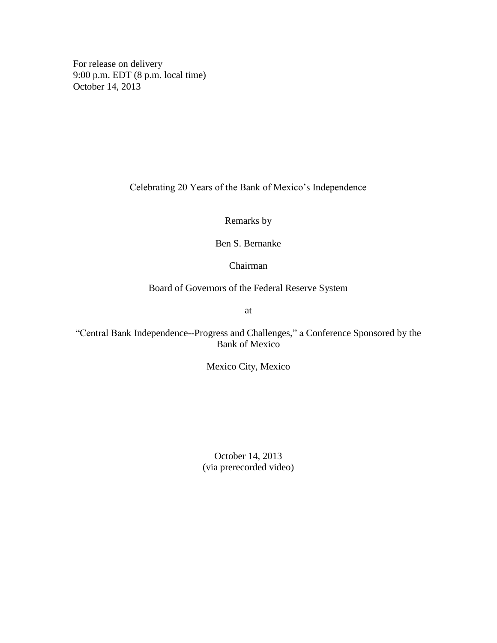For release on delivery 9:00 p.m. EDT (8 p.m. local time) October 14, 2013

Celebrating 20 Years of the Bank of Mexico's Independence

Remarks by

Ben S. Bernanke

Chairman

Board of Governors of the Federal Reserve System

at

"Central Bank Independence--Progress and Challenges," a Conference Sponsored by the Bank of Mexico

Mexico City, Mexico

October 14, 2013 (via prerecorded video)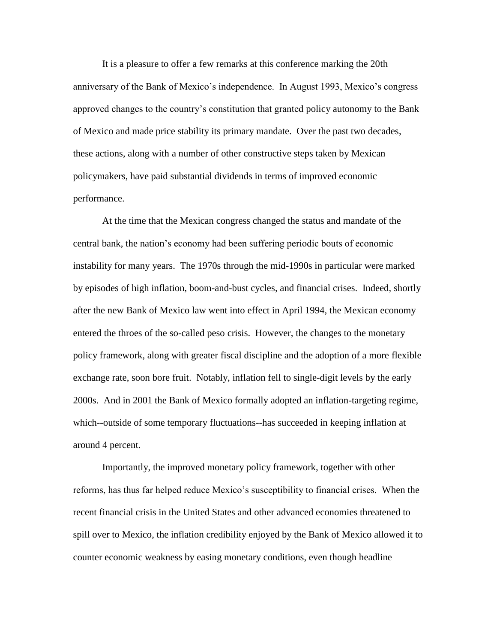It is a pleasure to offer a few remarks at this conference marking the 20th anniversary of the Bank of Mexico's independence. In August 1993, Mexico's congress approved changes to the country's constitution that granted policy autonomy to the Bank of Mexico and made price stability its primary mandate. Over the past two decades, these actions, along with a number of other constructive steps taken by Mexican policymakers, have paid substantial dividends in terms of improved economic performance.

At the time that the Mexican congress changed the status and mandate of the central bank, the nation's economy had been suffering periodic bouts of economic instability for many years. The 1970s through the mid-1990s in particular were marked by episodes of high inflation, boom-and-bust cycles, and financial crises. Indeed, shortly after the new Bank of Mexico law went into effect in April 1994, the Mexican economy entered the throes of the so-called peso crisis. However, the changes to the monetary policy framework, along with greater fiscal discipline and the adoption of a more flexible exchange rate, soon bore fruit. Notably, inflation fell to single-digit levels by the early 2000s. And in 2001 the Bank of Mexico formally adopted an inflation-targeting regime, which--outside of some temporary fluctuations--has succeeded in keeping inflation at around 4 percent.

Importantly, the improved monetary policy framework, together with other reforms, has thus far helped reduce Mexico's susceptibility to financial crises. When the recent financial crisis in the United States and other advanced economies threatened to spill over to Mexico, the inflation credibility enjoyed by the Bank of Mexico allowed it to counter economic weakness by easing monetary conditions, even though headline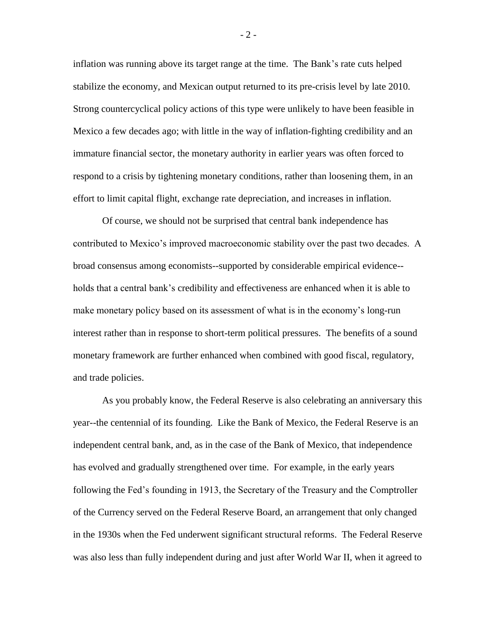inflation was running above its target range at the time. The Bank's rate cuts helped stabilize the economy, and Mexican output returned to its pre-crisis level by late 2010. Strong countercyclical policy actions of this type were unlikely to have been feasible in Mexico a few decades ago; with little in the way of inflation-fighting credibility and an immature financial sector, the monetary authority in earlier years was often forced to respond to a crisis by tightening monetary conditions, rather than loosening them, in an effort to limit capital flight, exchange rate depreciation, and increases in inflation.

Of course, we should not be surprised that central bank independence has contributed to Mexico's improved macroeconomic stability over the past two decades. A broad consensus among economists--supported by considerable empirical evidence- holds that a central bank's credibility and effectiveness are enhanced when it is able to make monetary policy based on its assessment of what is in the economy's long-run interest rather than in response to short-term political pressures. The benefits of a sound monetary framework are further enhanced when combined with good fiscal, regulatory, and trade policies.

As you probably know, the Federal Reserve is also celebrating an anniversary this year--the centennial of its founding. Like the Bank of Mexico, the Federal Reserve is an independent central bank, and, as in the case of the Bank of Mexico, that independence has evolved and gradually strengthened over time. For example, in the early years following the Fed's founding in 1913, the Secretary of the Treasury and the Comptroller of the Currency served on the Federal Reserve Board, an arrangement that only changed in the 1930s when the Fed underwent significant structural reforms. The Federal Reserve was also less than fully independent during and just after World War II, when it agreed to

 $-2-$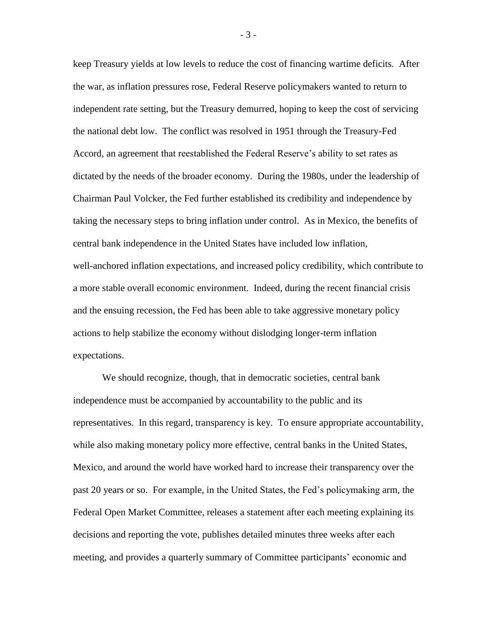keep Treasury yields at low levels to reduce the cost of financing wartime deficits. After the war, as inflation pressures rose, Federal Reserve policymakers wanted to return to independent rate setting, but the Treasury demurred, hoping to keep the cost of servicing the national debt low. The conflict was resolved in 1951 through the Treasury-Fed Accord, an agreement that reestablished the Federal Reserve's ability to set rates as dictated by the needs of the broader economy. During the 1980s, under the leadership of Chairman Paul Volcker, the Fed further established its credibility and independence by taking the necessary steps to bring inflation under control. As in Mexico, the benefits of central bank independence in the United States have included low inflation, well-anchored inflation expectations, and increased policy credibility, which contribute to a more stable overall economic environment. Indeed, during the recent financial crisis and the ensuing recession, the Fed has been able to take aggressive monetary policy actions to help stabilize the economy without dislodging longer-term inflation expectations.

We should recognize, though, that in democratic societies, central bank independence must be accompanied by accountability to the public and its representatives. In this regard, transparency is key. To ensure appropriate accountability, while also making monetary policy more effective, central banks in the United States, Mexico, and around the world have worked hard to increase their transparency over the past 20 years or so. For example, in the United States, the Fed's policymaking arm, the Federal Open Market Committee, releases a statement after each meeting explaining its decisions and reporting the vote, publishes detailed minutes three weeks after each meeting, and provides a quarterly summary of Committee participants' economic and

- 3 -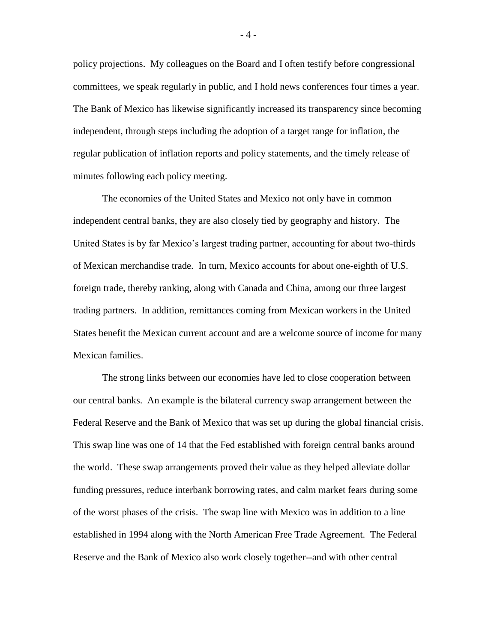policy projections. My colleagues on the Board and I often testify before congressional committees, we speak regularly in public, and I hold news conferences four times a year. The Bank of Mexico has likewise significantly increased its transparency since becoming independent, through steps including the adoption of a target range for inflation, the regular publication of inflation reports and policy statements, and the timely release of minutes following each policy meeting.

The economies of the United States and Mexico not only have in common independent central banks, they are also closely tied by geography and history. The United States is by far Mexico's largest trading partner, accounting for about two-thirds of Mexican merchandise trade. In turn, Mexico accounts for about one-eighth of U.S. foreign trade, thereby ranking, along with Canada and China, among our three largest trading partners. In addition, remittances coming from Mexican workers in the United States benefit the Mexican current account and are a welcome source of income for many Mexican families.

The strong links between our economies have led to close cooperation between our central banks. An example is the bilateral currency swap arrangement between the Federal Reserve and the Bank of Mexico that was set up during the global financial crisis. This swap line was one of 14 that the Fed established with foreign central banks around the world. These swap arrangements proved their value as they helped alleviate dollar funding pressures, reduce interbank borrowing rates, and calm market fears during some of the worst phases of the crisis. The swap line with Mexico was in addition to a line established in 1994 along with the North American Free Trade Agreement. The Federal Reserve and the Bank of Mexico also work closely together--and with other central

 $-4-$